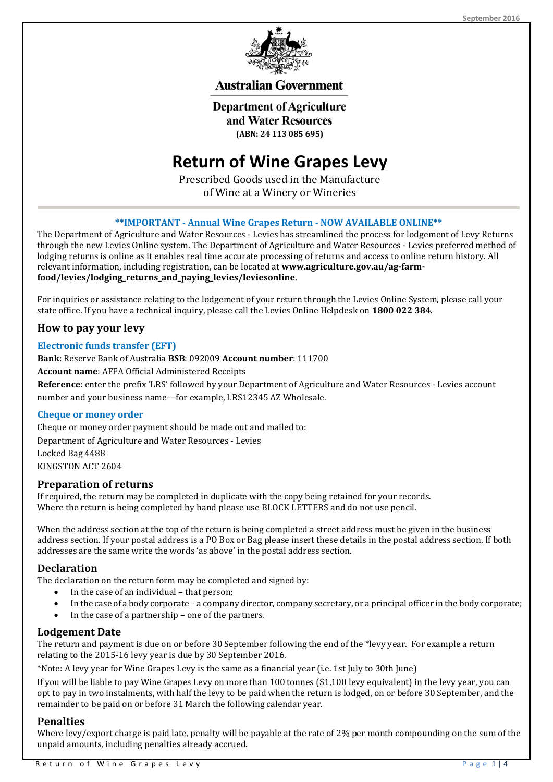

# **Australian Government**

**Department of Agriculture** and Water Resources **(ABN: 24 113 085 695)**

# **Return of Wine Grapes Levy**

Prescribed Goods used in the Manufacture of Wine at a Winery or Wineries

# **\*\*IMPORTANT - Annual Wine Grapes Return - NOW AVAILABLE ONLINE\*\***

The Department of Agriculture and Water Resources - Levies has streamlined the process for lodgement of Levy Returns through the new Levies Online system. The Department of Agriculture and Water Resources - Levies preferred method of lodging returns is online as it enables real time accurate processing of returns and access to online return history. All relevant information, including registration, can be located at **www.agriculture.gov.au/ag-farmfood/levies/lodging\_returns\_and\_paying\_levies/leviesonline**.

For inquiries or assistance relating to the lodgement of your return through the Levies Online System, please call your state office. If you have a technical inquiry, please call the Levies Online Helpdesk on **1800 022 384**.

# **How to pay your levy**

#### **Electronic funds transfer (EFT)**

#### **Bank**: Reserve Bank of Australia **BSB**: 092009 **Account number**: 111700

**Account name**: AFFA Official Administered Receipts

**Reference**: enter the prefix 'LRS' followed by your Department of Agriculture and Water Resources - Levies account number and your business name—for example, LRS12345 AZ Wholesale.

#### **Cheque or money order**

Cheque or money order payment should be made out and mailed to: Department of Agriculture and Water Resources - Levies Locked Bag 4488 KINGSTON ACT 2604

#### **Preparation of returns**

If required, the return may be completed in duplicate with the copy being retained for your records. Where the return is being completed by hand please use BLOCK LETTERS and do not use pencil.

When the address section at the top of the return is being completed a street address must be given in the business address section. If your postal address is a PO Box or Bag please insert these details in the postal address section. If both addresses are the same write the words 'as above' in the postal address section.

#### **Declaration**

The declaration on the return form may be completed and signed by:

- In the case of an individual that person:
- In the case of a body corporate a company director, company secretary, or a principal officer in the body corporate;
- In the case of a partnership one of the partners.

#### **Lodgement Date**

The return and payment is due on or before 30 September following the end of the \*levy year. For example a return relating to the 2015-16 levy year is due by 30 September 2016.

\*Note: A levy year for Wine Grapes Levy is the same as a financial year (i.e. 1st July to 30th June)

If you will be liable to pay Wine Grapes Levy on more than 100 tonnes (\$1,100 levy equivalent) in the levy year, you can opt to pay in two instalments, with half the levy to be paid when the return is lodged, on or before 30 September, and the remainder to be paid on or before 31 March the following calendar year.

# **Penalties**

Where levy/export charge is paid late, penalty will be payable at the rate of 2% per month compounding on the sum of the unpaid amounts, including penalties already accrued.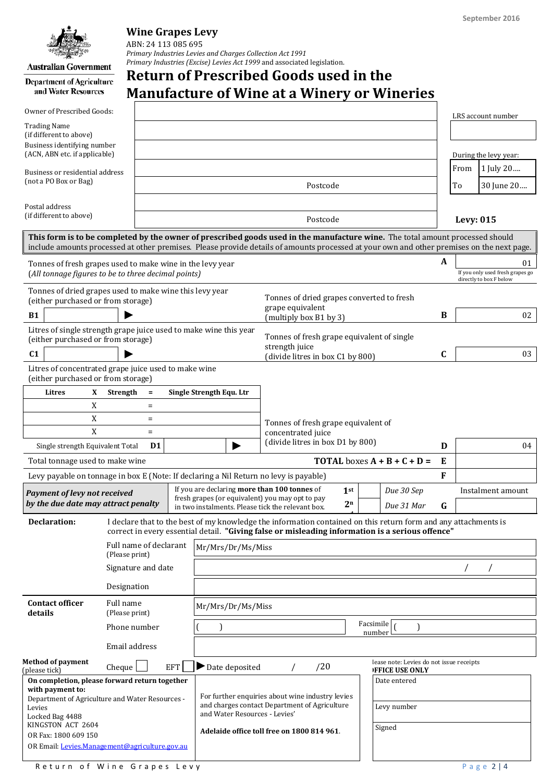**Australian Government** 

and Water Resources

# **Wine Grapes Levy**

ABN: 24 113 085 695 *Primary Industries Levies and Charges Collection Act 1991 Primary Industries (Excise) Levies Act 1999* and associated legislation.

# **Return of Prescribed Goods used in the**  Department of Agriculture **Manufacture of Wine at a Winery or Wineries**

| Owner of Prescribed Goods:<br><b>Trading Name</b>                                                                                                                                                                                                                          |                                                  |                   |                                                        |                                                                                                                                                                                                                     |                                                                    | LRS account number |    |                                                                   |  |  |  |
|----------------------------------------------------------------------------------------------------------------------------------------------------------------------------------------------------------------------------------------------------------------------------|--------------------------------------------------|-------------------|--------------------------------------------------------|---------------------------------------------------------------------------------------------------------------------------------------------------------------------------------------------------------------------|--------------------------------------------------------------------|--------------------|----|-------------------------------------------------------------------|--|--|--|
| (if different to above)<br>Business identifying number<br>(ACN, ABN etc. if applicable)                                                                                                                                                                                    |                                                  |                   |                                                        |                                                                                                                                                                                                                     |                                                                    |                    |    | During the levy year:                                             |  |  |  |
| Business or residential address<br>(not a PO Box or Bag)                                                                                                                                                                                                                   |                                                  |                   |                                                        |                                                                                                                                                                                                                     |                                                                    |                    |    | 1 July 20                                                         |  |  |  |
|                                                                                                                                                                                                                                                                            |                                                  |                   |                                                        | Postcode                                                                                                                                                                                                            |                                                                    |                    |    | 30 June 20                                                        |  |  |  |
|                                                                                                                                                                                                                                                                            |                                                  |                   |                                                        |                                                                                                                                                                                                                     |                                                                    |                    | To |                                                                   |  |  |  |
| Postal address<br>(if different to above)                                                                                                                                                                                                                                  |                                                  |                   |                                                        | Postcode                                                                                                                                                                                                            |                                                                    |                    |    | <b>Levy: 015</b>                                                  |  |  |  |
| This form is to be completed by the owner of prescribed goods used in the manufacture wine. The total amount processed should<br>include amounts processed at other premises. Please provide details of amounts processed at your own and other premises on the next page. |                                                  |                   |                                                        |                                                                                                                                                                                                                     |                                                                    |                    |    |                                                                   |  |  |  |
| Tonnes of fresh grapes used to make wine in the levy year<br>(All tonnage figures to be to three decimal points)                                                                                                                                                           |                                                  |                   |                                                        |                                                                                                                                                                                                                     |                                                                    |                    |    | 01<br>If you only used fresh grapes go<br>directly to box F below |  |  |  |
| Tonnes of dried grapes used to make wine this levy year<br>(either purchased or from storage)                                                                                                                                                                              |                                                  |                   |                                                        | Tonnes of dried grapes converted to fresh                                                                                                                                                                           |                                                                    |                    |    |                                                                   |  |  |  |
| <b>B1</b>                                                                                                                                                                                                                                                                  |                                                  |                   |                                                        | grape equivalent<br>(multiply box B1 by 3)                                                                                                                                                                          |                                                                    |                    |    | 02                                                                |  |  |  |
| Litres of single strength grape juice used to make wine this year<br>(either purchased or from storage)                                                                                                                                                                    |                                                  |                   |                                                        | Tonnes of fresh grape equivalent of single<br>strength juice                                                                                                                                                        |                                                                    |                    |    |                                                                   |  |  |  |
| C <sub>1</sub>                                                                                                                                                                                                                                                             |                                                  |                   |                                                        | (divide litres in box C1 by 800)                                                                                                                                                                                    |                                                                    | C                  |    | 03                                                                |  |  |  |
| Litres of concentrated grape juice used to make wine<br>(either purchased or from storage)                                                                                                                                                                                 |                                                  |                   |                                                        |                                                                                                                                                                                                                     |                                                                    |                    |    |                                                                   |  |  |  |
| Litres<br>X                                                                                                                                                                                                                                                                | Strength                                         | $\equiv$          | Single Strength Equ. Ltr                               |                                                                                                                                                                                                                     |                                                                    |                    |    |                                                                   |  |  |  |
| X                                                                                                                                                                                                                                                                          |                                                  | $\quad \  \  =$   |                                                        |                                                                                                                                                                                                                     |                                                                    |                    |    |                                                                   |  |  |  |
| X                                                                                                                                                                                                                                                                          |                                                  | $\qquad \qquad =$ |                                                        | Tonnes of fresh grape equivalent of                                                                                                                                                                                 |                                                                    |                    |    |                                                                   |  |  |  |
| X<br>$\equiv$                                                                                                                                                                                                                                                              |                                                  |                   | concentrated juice<br>(divide litres in box D1 by 800) |                                                                                                                                                                                                                     |                                                                    | D                  |    | 04                                                                |  |  |  |
| Single strength Equivalent Total<br>D <sub>1</sub><br>Total tonnage used to make wine                                                                                                                                                                                      |                                                  |                   |                                                        | <b>TOTAL</b> boxes $A + B + C + D =$                                                                                                                                                                                |                                                                    |                    |    |                                                                   |  |  |  |
|                                                                                                                                                                                                                                                                            |                                                  |                   |                                                        |                                                                                                                                                                                                                     |                                                                    |                    |    |                                                                   |  |  |  |
| Levy payable on tonnage in box E (Note: If declaring a Nil Return no levy is payable)<br><b>Payment of levy not received</b><br>by the due date may attract penalty                                                                                                        |                                                  |                   | If you are declaring more than 100 tonnes of           | 1 <sup>st</sup>                                                                                                                                                                                                     | Due 30 Sep                                                         | F                  |    | Instalment amount                                                 |  |  |  |
|                                                                                                                                                                                                                                                                            |                                                  |                   |                                                        | fresh grapes (or equivalent) you may opt to pay<br>2 <sup>n</sup><br>Due 31 Mar<br>in two instalments. Please tick the relevant box.                                                                                |                                                                    |                    |    |                                                                   |  |  |  |
| <b>Declaration:</b>                                                                                                                                                                                                                                                        |                                                  |                   |                                                        | I declare that to the best of my knowledge the information contained on this return form and any attachments is<br>correct in every essential detail. "Giving false or misleading information is a serious offence" |                                                                    |                    |    |                                                                   |  |  |  |
|                                                                                                                                                                                                                                                                            | Full name of declarant<br>(Please print)         |                   |                                                        | Mr/Mrs/Dr/Ms/Miss                                                                                                                                                                                                   |                                                                    |                    |    |                                                                   |  |  |  |
|                                                                                                                                                                                                                                                                            | Signature and date                               |                   |                                                        |                                                                                                                                                                                                                     |                                                                    |                    |    | $\prime$                                                          |  |  |  |
|                                                                                                                                                                                                                                                                            | Designation                                      |                   |                                                        |                                                                                                                                                                                                                     |                                                                    |                    |    |                                                                   |  |  |  |
| <b>Contact officer</b><br>details                                                                                                                                                                                                                                          | Full name<br>Mr/Mrs/Dr/Ms/Miss<br>(Please print) |                   |                                                        |                                                                                                                                                                                                                     |                                                                    |                    |    |                                                                   |  |  |  |
|                                                                                                                                                                                                                                                                            | Phone number                                     |                   | Facsimile [<br>$\mathcal{E}$<br>number                 |                                                                                                                                                                                                                     |                                                                    |                    |    |                                                                   |  |  |  |
|                                                                                                                                                                                                                                                                            | Email address                                    |                   |                                                        |                                                                                                                                                                                                                     |                                                                    |                    |    |                                                                   |  |  |  |
| <b>Method of payment</b><br>(please tick)                                                                                                                                                                                                                                  | Cheque                                           | <b>EFT</b>        | $\blacktriangleright$ Date deposited                   | /20                                                                                                                                                                                                                 | lease note: Levies do not issue receipts<br><b>IFFICE USE ONLY</b> |                    |    |                                                                   |  |  |  |
| On completion, please forward return together<br>with payment to:<br>Department of Agriculture and Water Resources -<br>Levies<br>Locked Bag 4488<br>KINGSTON ACT 2604<br>OR Fax: 1800 609 150<br>OR Email: Levies.Management@agriculture.gov.au                           |                                                  |                   | and Water Resources - Levies'                          | For further enquiries about wine industry levies<br>and charges contact Department of Agriculture<br>Adelaide office toll free on 1800 814 961.                                                                     | Date entered<br>Levy number<br>Signed                              |                    |    |                                                                   |  |  |  |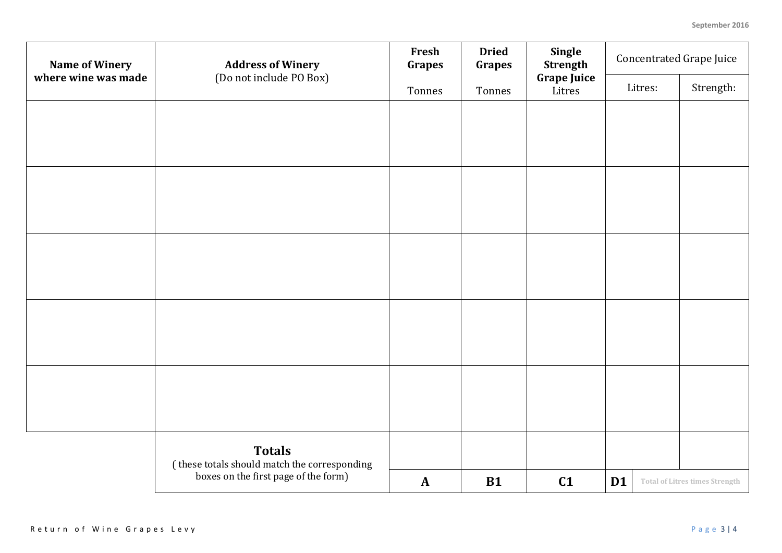| <b>Name of Winery</b><br>where wine was made | <b>Address of Winery</b><br>(Do not include PO Box)                                                   | Fresh<br><b>Grapes</b> | <b>Dried</b><br><b>Grapes</b> | Single<br><b>Strength</b>    | <b>Concentrated Grape Juice</b> |         |                                       |
|----------------------------------------------|-------------------------------------------------------------------------------------------------------|------------------------|-------------------------------|------------------------------|---------------------------------|---------|---------------------------------------|
|                                              |                                                                                                       | Tonnes                 | Tonnes                        | <b>Grape Juice</b><br>Litres |                                 | Litres: | Strength:                             |
|                                              |                                                                                                       |                        |                               |                              |                                 |         |                                       |
|                                              |                                                                                                       |                        |                               |                              |                                 |         |                                       |
|                                              |                                                                                                       |                        |                               |                              |                                 |         |                                       |
|                                              |                                                                                                       |                        |                               |                              |                                 |         |                                       |
|                                              |                                                                                                       |                        |                               |                              |                                 |         |                                       |
|                                              |                                                                                                       |                        |                               |                              |                                 |         |                                       |
|                                              |                                                                                                       |                        |                               |                              |                                 |         |                                       |
|                                              |                                                                                                       |                        |                               |                              |                                 |         |                                       |
|                                              |                                                                                                       |                        |                               |                              |                                 |         |                                       |
|                                              |                                                                                                       |                        |                               |                              |                                 |         |                                       |
|                                              |                                                                                                       |                        |                               |                              |                                 |         |                                       |
|                                              |                                                                                                       |                        |                               |                              |                                 |         |                                       |
|                                              |                                                                                                       |                        |                               |                              |                                 |         |                                       |
|                                              |                                                                                                       |                        |                               |                              |                                 |         |                                       |
|                                              | <b>Totals</b><br>(these totals should match the corresponding<br>boxes on the first page of the form) |                        |                               |                              |                                 |         |                                       |
|                                              |                                                                                                       | $\mathbf{A}$           | <b>B1</b>                     | C1                           | D <sub>1</sub>                  |         | <b>Total of Litres times Strength</b> |
|                                              |                                                                                                       |                        |                               |                              |                                 |         |                                       |